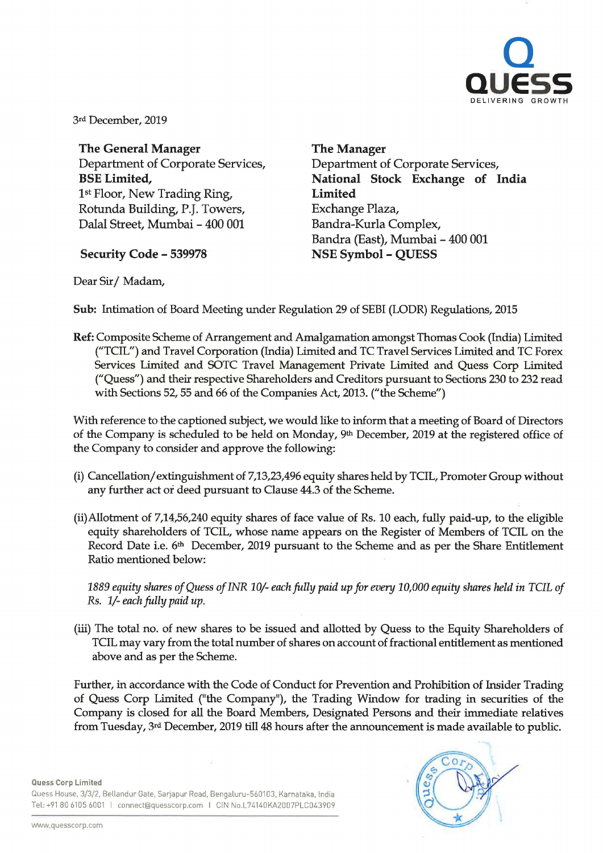

3rd December, 2019

**The General Manager**  Department of Corporate Services, **BSE Limited,**  1st Floor, New Trading Ring, Rotunda Building, P.J. Towers, Dalal Street, Mumbai - 400 001

**Security Code - 539978** 

**The Manager**  Department of Corporate Services, **National Stock Exchange of India Limited**  Exchange Plaza, Bandra-Kurla Complex, Bandra (East), Mumbai - 400 001 **NSE Symbol - QUESS** 

Dear Sir/ Madam,

**Sub:** Intimation of Board Meeting under Regulation 29 of SEBI (LODR) Regulations, 2015

**Ref:** Composite Scheme of Arrangement and Amalgamation amongst Thomas Cook (India) Limited ("TCIL") and Travel Corporation (India) Limited and TC Travel Services Limited and TC Forex Services Limited and SOTC Travel Management Private Limited and Quess Corp Limited ("Quess") and their respective Shareholders and Creditors pursuant to Sections 230 to 232 read with Sections 52, 55 and 66 of the Companies Act, 2013. ("the Scheme")

With reference to the captioned subject, we would like to inform that a meeting of Board of Directors of the Company is scheduled to be held on Monday, 9th December, 2019 at the registered office of the Company to consider and approve the following:

- (i) Cancellation/ extinguishment of 7,13,23,496 equity shares held by TCIL, Promoter Group without any further act or deed pursuant to Clause 44.3 of the Scheme.
- (ii)Allotment of 7,14,56,240 equity shares of face value of Rs. 10 each, fully paid-up, to the eligible equity shareholders of TCIL, whose name appears on the Register of Members of TCIL on the Record Date i.e. 6<sup>th</sup> December, 2019 pursuant to the Scheme and as per the Share Entitlement Ratio mentioned below:

*1889 equihJ shares of Quess of INR 10/- each fully paid up for even; 10,000 equihJ shares held in TCIL of Rs. 1/- each fully paid up.* 

(iii) The total no. of new shares to be issued and allotted by Quess to the Equity Shareholders of TCIL may vary from the total number of shares on account of fractional entitlement as mentioned above and as per the Scheme.

Further, in accordance with the Code of Conduct for Prevention and Prohibition of Insider Trading of Quess Corp Limited ("the Company"), the Trading Window for trading in securities of the Company is closed for all the Board Members, Designated Persons and their immediate relatives from Tuesday, 3rd December, 2019 till 48 hours after the announcement is made available to public.